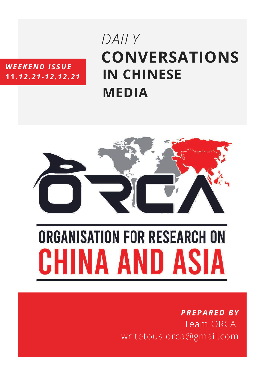# *WEEKEND ISSUE* **11***.12.21-12.12.21*

# **CONVERSATIONS IN CHINESE MEDIA** *DAILY*



# **ORGANISATION FOR RESEARCH ON** HINA AND ASIA

# *PREPARED BY* Team ORCA writetous.orca@gmail.com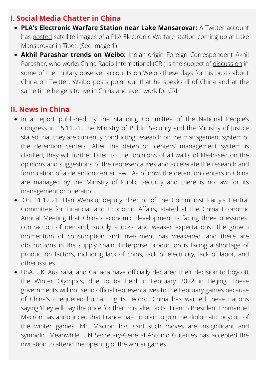## **I. Social Media Chatter in China**

- **PLA's Electronic Warfare Station near Lake Mansarovar:** A Twitter account has [posted](https://twitter.com/viper202020/status/1469755683373387777?t=npx-VU3xJHT3nolyIIjl4w&s=08) satellite images of a PLA Electronic Warfare station coming up at Lake Mansarovar in Tibet. (See Image 1)
- **Akhil Parashar trends on Weibo:** Indian-origin Foreign Correspondent Akhil Parashar, who works China Radio International (CRI) is the subject of [discussion](https://www.linkedin.com/in/akhil-parashar-154a0834/?originalSubdomain=cn) in some of the military observer accounts on Weibo these days for his posts about China on Twitter. Weibo posts point out that he speaks ill of China and at the same time he gets to live in China and even work for CRI.

### **II. News in China**

- In a report published by the Standing Committee of the National People's Congress in 15.11.21, the Ministry of Public Security and the Ministry of Justice stated that they are currently conducting research on the management system of the detention centers. After the detention centers' management system is clarified, they will further listen to the "opinions of all walks of life-based on the opinions and suggestions of the representatives and accelerate the research and formulation of a detention center law". As of now, the detention centers in China are managed by the Ministry of Public Security and there is no law for its management or operation.
- .On 11.12.21, Han Wenxiu, deputy director of the Communist Party's Central Committee for Financial and Economic Affairs, stated at the China Economic Annual Meeting that China's economic development is facing three pressures: contraction of demand, supply shocks, and weaker expectations. The growth momentum of consumption and investment has weakened, and there are obstructions in the supply chain. Enterprise production is facing a shortage of production factors, including lack of chips, lack of electricity, lack of labor, and other issues.
- USA, UK, Australia, and Canada have officially declared their decision to boycott the Winter Olympics, due to be held in February 2022 in Beijing. These governments will not send official representatives to the February games because of China's chequered human rights record. China has warned these nations saying 'they will pay the price for their mistaken acts'. French President Emmanuel Macron has announced [that](https://www.bbc.com/news/world-europe-59599063) France has no plan to join the diplomatic boycott of the winter games. Mr. Macron has said such moves are insignificant and symbolic. Meanwhile, UN Secretary-General Antonio Guterres has accepted the invitation to attend the opening of the winter games.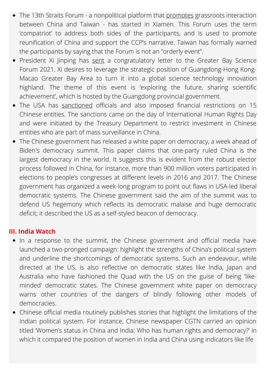- The 13th Straits Forum a nonpolitical platform that [promotes](https://www.thepaper.cn/newsDetail_forward_15809652) grassroots interaction between China and Taiwan - has started in Xiamen. This Forum uses the term 'compatriot' to address both sides of the participants, and is used to promote reunification of China and support the CCP's narrative. Taiwan has formally warned the participants by saying that the Forum is not an "orderly event".
- President Xi Jinping has [sent](https://news.cgtn.com/news/2021-12-11/Xi-sends-congratulatory-letter-to-Greater-Bay-Science-Forum-2021-15U8xfQiSS4/index.html) a congratulatory letter to the Greater Bay Science Forum 2021. Xi desires to leverage the strategic position of Guangdong-Hong Kong-Macao Greater Bay Area to turn it into a global science technology innovation highland. The theme of this event is 'exploring the future, sharing scientific achievement', which is hosted by the Guangdong provincial government.
- The USA has [sanctioned](https://www.business-standard.com/article/international/us-sanctions-china-myanmar-n-korea-bangladesh-over-human-rights-issues-121121100017_1.html) officials and also imposed financial restrictions on 15 Chinese entities. The sanctions came on the day of International Human Rights Day and were initiated by the Treasury Department to restrict investment in Chinese entities who are part of mass surveillance in China.
- The Chinese government has released a white paper on democracy, a week ahead of Biden's democracy summit. This paper claims that one-party ruled China is the largest democracy in the world. It suggests this is evident from the robust elector process followed in China, for instance, more than 900 million voters participated in elections to people's congresses at different levels in 2016 and 2017. The Chinese government has organized a week-long program to point out flaws in USA-led liberal democratic systems. The Chinese government said the aim of the summit was to defend US hegemony which reflects its democratic malaise and huge democratic deficit; it described the US as a self-styled beacon of democracy.

#### **III. India Watch**

- In a response to the summit, the Chinese government and official media have launched a two-pronged campaign: highlight the strengths of China's political system and underline the shortcomings of democratic systems. Such an endeavour, while directed at the US, is also reflective on democratic states like India, Japan and Australia who have fashioned the Quad with the US on the guise of being 'likeminded' democratic states. The Chinese government white paper on democracy warns other countries of the dangers of blindly following other models of democracies.
- Chinese official media routinely publishes stories that highlight the limitations of the Indian political system. For instance, Chinese newspaper CGTN carried an opinion titled 'Women's status in China and India: Who has human rights and [democracy?'](https://news.cgtn.com/news/2021-12-08/Women-s-status-in-China-and-India-Who-has-human-rights-and-democracy--15Paa7PE2L6/index.html) in which it compared the position of women in India and China using indicators like life